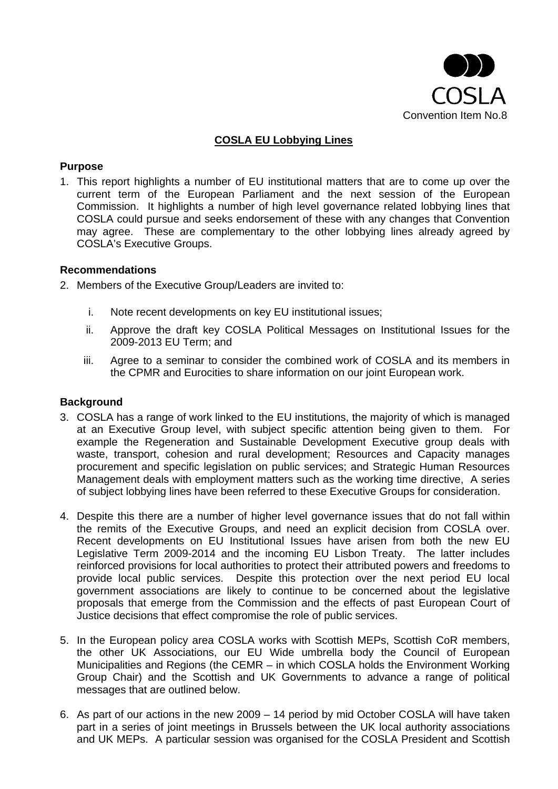

# **COSLA EU Lobbying Lines**

#### **Purpose**

1. This report highlights a number of EU institutional matters that are to come up over the current term of the European Parliament and the next session of the European Commission. It highlights a number of high level governance related lobbying lines that COSLA could pursue and seeks endorsement of these with any changes that Convention may agree. These are complementary to the other lobbying lines already agreed by COSLA's Executive Groups.

#### **Recommendations**

- 2. Members of the Executive Group/Leaders are invited to:
	- i. Note recent developments on key EU institutional issues;
	- ii. Approve the draft key COSLA Political Messages on Institutional Issues for the 2009-2013 EU Term; and
	- iii. Agree to a seminar to consider the combined work of COSLA and its members in the CPMR and Eurocities to share information on our joint European work.

### **Background**

- 3. COSLA has a range of work linked to the EU institutions, the majority of which is managed at an Executive Group level, with subject specific attention being given to them. For example the Regeneration and Sustainable Development Executive group deals with waste, transport, cohesion and rural development; Resources and Capacity manages procurement and specific legislation on public services; and Strategic Human Resources Management deals with employment matters such as the working time directive, A series of subject lobbying lines have been referred to these Executive Groups for consideration.
- 4. Despite this there are a number of higher level governance issues that do not fall within the remits of the Executive Groups, and need an explicit decision from COSLA over. Recent developments on EU Institutional Issues have arisen from both the new EU Legislative Term 2009-2014 and the incoming EU Lisbon Treaty. The latter includes reinforced provisions for local authorities to protect their attributed powers and freedoms to provide local public services. Despite this protection over the next period EU local government associations are likely to continue to be concerned about the legislative proposals that emerge from the Commission and the effects of past European Court of Justice decisions that effect compromise the role of public services.
- 5. In the European policy area COSLA works with Scottish MEPs, Scottish CoR members, the other UK Associations, our EU Wide umbrella body the Council of European Municipalities and Regions (the CEMR – in which COSLA holds the Environment Working Group Chair) and the Scottish and UK Governments to advance a range of political messages that are outlined below.
- 6. As part of our actions in the new 2009 14 period by mid October COSLA will have taken part in a series of joint meetings in Brussels between the UK local authority associations and UK MEPs. A particular session was organised for the COSLA President and Scottish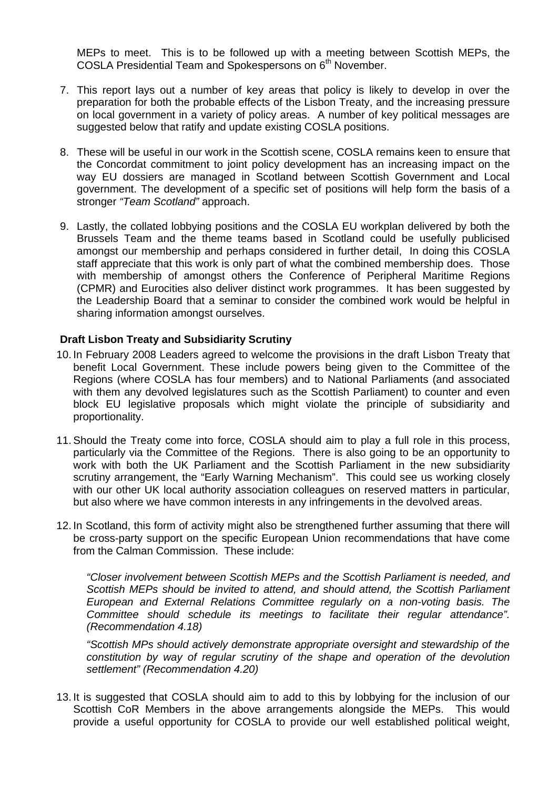MEPs to meet. This is to be followed up with a meeting between Scottish MEPs, the COSLA Presidential Team and Spokespersons on  $6<sup>th</sup>$  November.

- 7. This report lays out a number of key areas that policy is likely to develop in over the preparation for both the probable effects of the Lisbon Treaty, and the increasing pressure on local government in a variety of policy areas. A number of key political messages are suggested below that ratify and update existing COSLA positions.
- 8. These will be useful in our work in the Scottish scene, COSLA remains keen to ensure that the Concordat commitment to joint policy development has an increasing impact on the way EU dossiers are managed in Scotland between Scottish Government and Local government. The development of a specific set of positions will help form the basis of a stronger *"Team Scotland"* approach.
- 9. Lastly, the collated lobbying positions and the COSLA EU workplan delivered by both the Brussels Team and the theme teams based in Scotland could be usefully publicised amongst our membership and perhaps considered in further detail, In doing this COSLA staff appreciate that this work is only part of what the combined membership does. Those with membership of amongst others the Conference of Peripheral Maritime Regions (CPMR) and Eurocities also deliver distinct work programmes. It has been suggested by the Leadership Board that a seminar to consider the combined work would be helpful in sharing information amongst ourselves.

### **Draft Lisbon Treaty and Subsidiarity Scrutiny**

- 10. In February 2008 Leaders agreed to welcome the provisions in the draft Lisbon Treaty that benefit Local Government. These include powers being given to the Committee of the Regions (where COSLA has four members) and to National Parliaments (and associated with them any devolved legislatures such as the Scottish Parliament) to counter and even block EU legislative proposals which might violate the principle of subsidiarity and proportionality.
- 11. Should the Treaty come into force, COSLA should aim to play a full role in this process, particularly via the Committee of the Regions. There is also going to be an opportunity to work with both the UK Parliament and the Scottish Parliament in the new subsidiarity scrutiny arrangement, the "Early Warning Mechanism". This could see us working closely with our other UK local authority association colleagues on reserved matters in particular, but also where we have common interests in any infringements in the devolved areas.
- 12. In Scotland, this form of activity might also be strengthened further assuming that there will be cross-party support on the specific European Union recommendations that have come from the Calman Commission. These include:

*"Closer involvement between Scottish MEPs and the Scottish Parliament is needed, and Scottish MEPs should be invited to attend, and should attend, the Scottish Parliament European and External Relations Committee regularly on a non-voting basis. The Committee should schedule its meetings to facilitate their regular attendance". (Recommendation 4.18)* 

*"Scottish MPs should actively demonstrate appropriate oversight and stewardship of the constitution by way of regular scrutiny of the shape and operation of the devolution settlement" (Recommendation 4.20)* 

13. It is suggested that COSLA should aim to add to this by lobbying for the inclusion of our Scottish CoR Members in the above arrangements alongside the MEPs. This would provide a useful opportunity for COSLA to provide our well established political weight,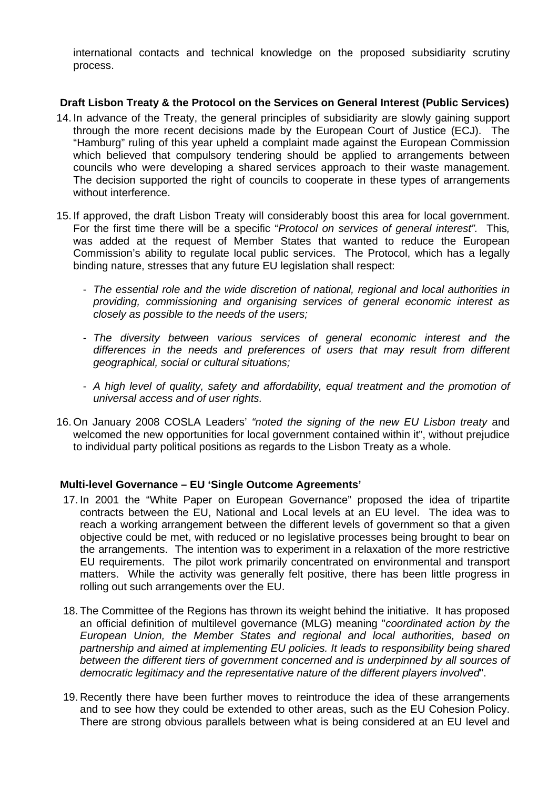international contacts and technical knowledge on the proposed subsidiarity scrutiny process.

## **Draft Lisbon Treaty & the Protocol on the Services on General Interest (Public Services)**

- 14. In advance of the Treaty, the general principles of subsidiarity are slowly gaining support through the more recent decisions made by the European Court of Justice (ECJ). The "Hamburg" ruling of this year upheld a complaint made against the European Commission which believed that compulsory tendering should be applied to arrangements between councils who were developing a shared services approach to their waste management. The decision supported the right of councils to cooperate in these types of arrangements without interference.
- 15. If approved, the draft Lisbon Treaty will considerably boost this area for local government. For the first time there will be a specific "*Protocol on services of general interest".* This*,*  was added at the request of Member States that wanted to reduce the European Commission's ability to regulate local public services. The Protocol, which has a legally binding nature, stresses that any future EU legislation shall respect:
	- *The essential role and the wide discretion of national, regional and local authorities in providing, commissioning and organising services of general economic interest as closely as possible to the needs of the users;*
	- *The diversity between various services of general economic interest and the differences in the needs and preferences of users that may result from different geographical, social or cultural situations;*
	- *A high level of quality, safety and affordability, equal treatment and the promotion of universal access and of user rights.*
- 16. On January 2008 COSLA Leaders' *"noted the signing of the new EU Lisbon treaty* and welcomed the new opportunities for local government contained within it", without prejudice to individual party political positions as regards to the Lisbon Treaty as a whole.

### **Multi-level Governance – EU 'Single Outcome Agreements'**

- 17. In 2001 the "White Paper on European Governance" proposed the idea of tripartite contracts between the EU, National and Local levels at an EU level. The idea was to reach a working arrangement between the different levels of government so that a given objective could be met, with reduced or no legislative processes being brought to bear on the arrangements. The intention was to experiment in a relaxation of the more restrictive EU requirements. The pilot work primarily concentrated on environmental and transport matters. While the activity was generally felt positive, there has been little progress in rolling out such arrangements over the EU.
- 18. The Committee of the Regions has thrown its weight behind the initiative. It has proposed an official definition of multilevel governance (MLG) meaning "*coordinated action by the European Union, the Member States and regional and local authorities, based on partnership and aimed at implementing EU policies. It leads to responsibility being shared between the different tiers of government concerned and is underpinned by all sources of democratic legitimacy and the representative nature of the different players involved*".
- 19. Recently there have been further moves to reintroduce the idea of these arrangements and to see how they could be extended to other areas, such as the EU Cohesion Policy. There are strong obvious parallels between what is being considered at an EU level and